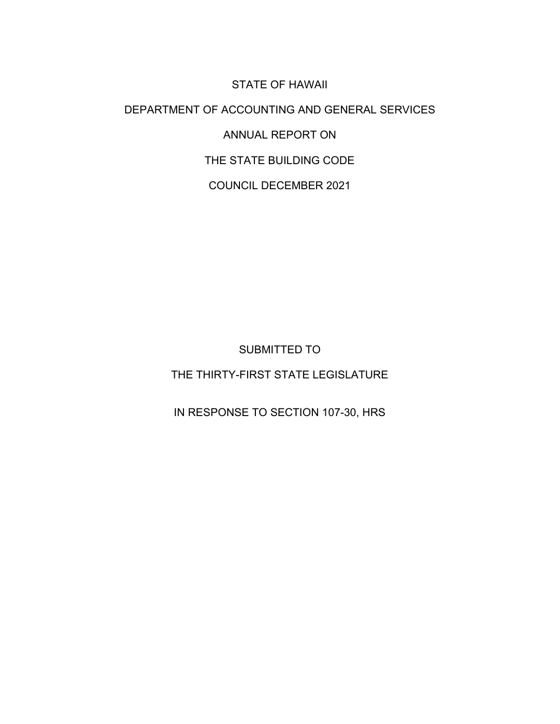STATE OF HAWAII DEPARTMENT OF ACCOUNTING AND GENERAL SERVICES ANNUAL REPORT ON THE STATE BUILDING CODE COUNCIL DECEMBER 2021

SUBMITTED TO

THE THIRTY-FIRST STATE LEGISLATURE

IN RESPONSE TO SECTION 107-30, HRS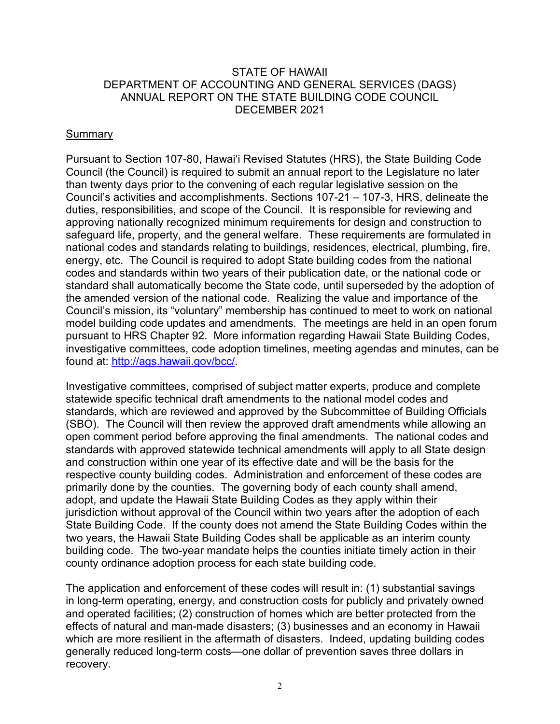### STATE OF HAWAII DEPARTMENT OF ACCOUNTING AND GENERAL SERVICES (DAGS) ANNUAL REPORT ON THE STATE BUILDING CODE COUNCIL DECEMBER 2021

### Summary

Pursuant to Section 107-80, Hawai'i Revised Statutes (HRS), the State Building Code Council (the Council) is required to submit an annual report to the Legislature no later than twenty days prior to the convening of each regular legislative session on the Council's activities and accomplishments. Sections 107-21 – 107-3, HRS, delineate the duties, responsibilities, and scope of the Council. It is responsible for reviewing and approving nationally recognized minimum requirements for design and construction to safeguard life, property, and the general welfare. These requirements are formulated in national codes and standards relating to buildings, residences, electrical, plumbing, fire, energy, etc. The Council is required to adopt State building codes from the national codes and standards within two years of their publication date, or the national code or standard shall automatically become the State code, until superseded by the adoption of the amended version of the national code. Realizing the value and importance of the Council's mission, its "voluntary" membership has continued to meet to work on national model building code updates and amendments. The meetings are held in an open forum pursuant to HRS Chapter 92. More information regarding Hawaii State Building Codes, investigative committees, code adoption timelines, meeting agendas and minutes, can be found at: [http://ags.hawaii.gov/bcc/.](http://ags.hawaii.gov/bcc/)

Investigative committees, comprised of subject matter experts, produce and complete statewide specific technical draft amendments to the national model codes and standards, which are reviewed and approved by the Subcommittee of Building Officials (SBO). The Council will then review the approved draft amendments while allowing an open comment period before approving the final amendments. The national codes and standards with approved statewide technical amendments will apply to all State design and construction within one year of its effective date and will be the basis for the respective county building codes. Administration and enforcement of these codes are primarily done by the counties. The governing body of each county shall amend, adopt, and update the Hawaii State Building Codes as they apply within their jurisdiction without approval of the Council within two years after the adoption of each State Building Code. If the county does not amend the State Building Codes within the two years, the Hawaii State Building Codes shall be applicable as an interim county building code. The two-year mandate helps the counties initiate timely action in their county ordinance adoption process for each state building code.

The application and enforcement of these codes will result in: (1) substantial savings in long-term operating, energy, and construction costs for publicly and privately owned and operated facilities; (2) construction of homes which are better protected from the effects of natural and man-made disasters; (3) businesses and an economy in Hawaii which are more resilient in the aftermath of disasters. Indeed, updating building codes generally reduced long-term costs—one dollar of prevention saves three dollars in recovery.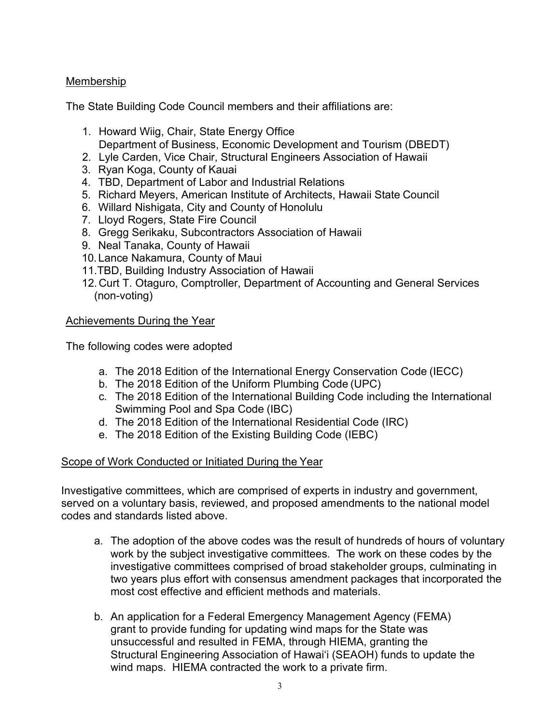# Membership

The State Building Code Council members and their affiliations are:

- 1. Howard Wiig, Chair, State Energy Office Department of Business, Economic Development and Tourism (DBEDT)
- 2. Lyle Carden, Vice Chair, Structural Engineers Association of Hawaii
- 3. Ryan Koga, County of Kauai
- 4. TBD, Department of Labor and Industrial Relations
- 5. Richard Meyers, American Institute of Architects, Hawaii State Council
- 6. Willard Nishigata, City and County of Honolulu
- 7. Lloyd Rogers, State Fire Council
- 8. Gregg Serikaku, Subcontractors Association of Hawaii
- 9. Neal Tanaka, County of Hawaii
- 10. Lance Nakamura, County of Maui
- 11.TBD, Building Industry Association of Hawaii
- 12.Curt T. Otaguro, Comptroller, Department of Accounting and General Services (non-voting)

# Achievements During the Year

The following codes were adopted

- a. The 2018 Edition of the International Energy Conservation Code (IECC)
- b. The 2018 Edition of the Uniform Plumbing Code (UPC)
- c. The 2018 Edition of the International Building Code including the International Swimming Pool and Spa Code (IBC)
- d. The 2018 Edition of the International Residential Code (IRC)
- e. The 2018 Edition of the Existing Building Code (IEBC)

# Scope of Work Conducted or Initiated During the Year

Investigative committees, which are comprised of experts in industry and government, served on a voluntary basis, reviewed, and proposed amendments to the national model codes and standards listed above.

- a. The adoption of the above codes was the result of hundreds of hours of voluntary work by the subject investigative committees. The work on these codes by the investigative committees comprised of broad stakeholder groups, culminating in two years plus effort with consensus amendment packages that incorporated the most cost effective and efficient methods and materials.
- b. An application for a Federal Emergency Management Agency (FEMA) grant to provide funding for updating wind maps for the State was unsuccessful and resulted in FEMA, through HIEMA, granting the Structural Engineering Association of Hawai'i (SEAOH) funds to update the wind maps. HIEMA contracted the work to a private firm.